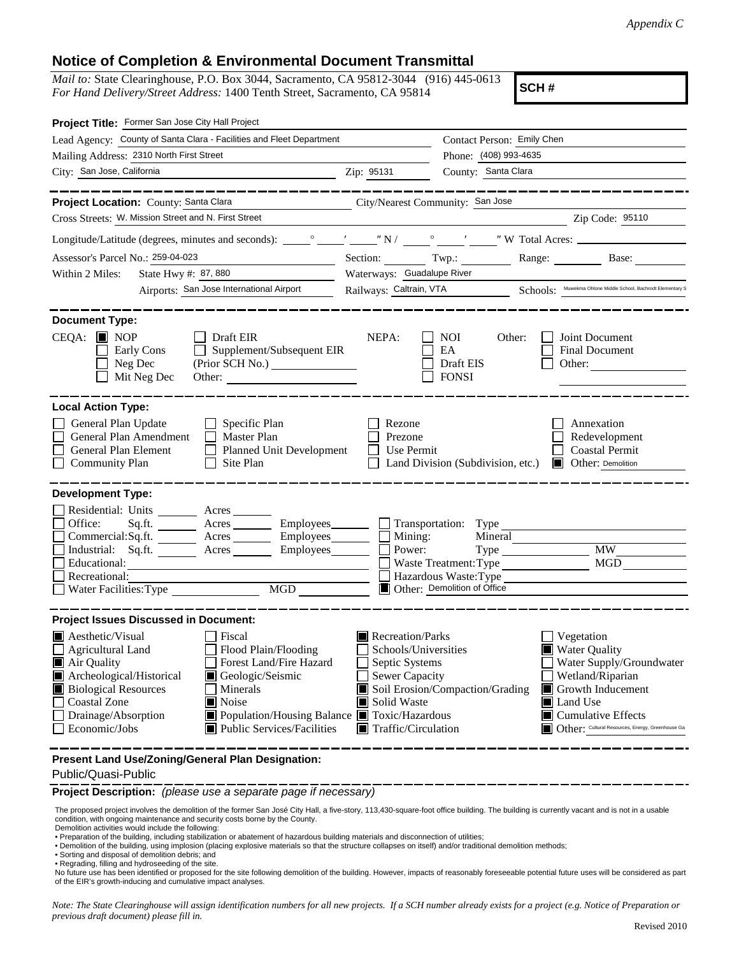## **Notice of Completion & Environmental Document Transmittal**

*Mail to:* State Clearinghouse, P.O. Box 3044, Sacramento, CA 95812-3044 (916) 445-0613 *For Hand Delivery/Street Address:* 1400 Tenth Street, Sacramento, CA 95814

**SCH #**

| Project Title: Former San Jose City Hall Project                                                                                                                                                                                                                                                                                                                     |                                                                                                                                          |                                                                         |                                                                                                                                                                                                                                   |  |
|----------------------------------------------------------------------------------------------------------------------------------------------------------------------------------------------------------------------------------------------------------------------------------------------------------------------------------------------------------------------|------------------------------------------------------------------------------------------------------------------------------------------|-------------------------------------------------------------------------|-----------------------------------------------------------------------------------------------------------------------------------------------------------------------------------------------------------------------------------|--|
| Lead Agency: County of Santa Clara - Facilities and Fleet Department                                                                                                                                                                                                                                                                                                 |                                                                                                                                          | Contact Person: Emily Chen<br>Phone: (408) 993-4635                     |                                                                                                                                                                                                                                   |  |
| Mailing Address: 2310 North First Street                                                                                                                                                                                                                                                                                                                             |                                                                                                                                          |                                                                         |                                                                                                                                                                                                                                   |  |
| City: San Jose, California<br><u> 1980 - Johann Barbara, martin a</u>                                                                                                                                                                                                                                                                                                | Zip: 95131                                                                                                                               | County: Santa Clara                                                     |                                                                                                                                                                                                                                   |  |
|                                                                                                                                                                                                                                                                                                                                                                      |                                                                                                                                          |                                                                         |                                                                                                                                                                                                                                   |  |
| Project Location: County: Santa Clara<br>City/Nearest Community: San Jose                                                                                                                                                                                                                                                                                            |                                                                                                                                          |                                                                         |                                                                                                                                                                                                                                   |  |
| Cross Streets: W. Mission Street and N. First Street                                                                                                                                                                                                                                                                                                                 |                                                                                                                                          |                                                                         | $\chi$ 2ip Code: 95110                                                                                                                                                                                                            |  |
|                                                                                                                                                                                                                                                                                                                                                                      |                                                                                                                                          |                                                                         |                                                                                                                                                                                                                                   |  |
| Assessor's Parcel No.: 259-04-023<br><u> 1980 - Johann Barbara, martin a</u>                                                                                                                                                                                                                                                                                         |                                                                                                                                          |                                                                         | Section: Twp.: Range: Base:                                                                                                                                                                                                       |  |
| State Hwy #: 87, 880<br>Within 2 Miles:                                                                                                                                                                                                                                                                                                                              | Waterways: Guadalupe River                                                                                                               |                                                                         |                                                                                                                                                                                                                                   |  |
| Airports: San Jose International Airport                                                                                                                                                                                                                                                                                                                             |                                                                                                                                          |                                                                         | Railways: Caltrain, VTA Schools: Muwekma Ohlone Middle School, Bachrodt Elementary S                                                                                                                                              |  |
|                                                                                                                                                                                                                                                                                                                                                                      |                                                                                                                                          |                                                                         |                                                                                                                                                                                                                                   |  |
| <b>Document Type:</b><br>$CEQA:$ MOP<br>$\Box$ Draft EIR<br>Supplement/Subsequent EIR<br>Early Cons<br>Neg Dec<br>Mit Neg Dec<br>Other:                                                                                                                                                                                                                              | NEPA:<br>$\Box$                                                                                                                          | <b>NOI</b><br>Other:<br>EA<br>Draft EIS<br><b>FONSI</b>                 | Joint Document<br>$\mathbf{I}$<br>Final Document<br>Other:                                                                                                                                                                        |  |
| General Plan Update<br>$\Box$ Specific Plan<br>General Plan Amendment   Master Plan<br>General Plan Element<br>Planned Unit Development<br>Site Plan<br><b>Community Plan</b>                                                                                                                                                                                        | Rezone<br>Prezone<br>Use Permit                                                                                                          | $\Box$ Land Division (Subdivision, etc.)                                | Annexation<br>Redevelopment<br><b>Coastal Permit</b><br>Other: Demolition<br>$\blacksquare$                                                                                                                                       |  |
| <b>Development Type:</b><br>Residential: Units _______<br>Acres<br>$\Box$ Office:<br>Acres Employees<br>Sq.fit.<br>Commercial:Sq.ft. <u>Acres</u> Acres Employees<br>Industrial: Sq.ft. <u>Acres</u><br>Employees_______<br>Educational:<br>Recreational:<br>MGD<br>$\blacksquare$ Water Facilities: Type                                                            | Transportation: Type<br>Mining:<br>Power:                                                                                                | Mineral<br>Type<br>Waste Treatment: Type<br>Other: Demolition of Office | <b>MW</b><br><b>MGD</b><br>Hazardous Waste:Type                                                                                                                                                                                   |  |
|                                                                                                                                                                                                                                                                                                                                                                      |                                                                                                                                          |                                                                         |                                                                                                                                                                                                                                   |  |
| <b>Project Issues Discussed in Document:</b>                                                                                                                                                                                                                                                                                                                         |                                                                                                                                          |                                                                         |                                                                                                                                                                                                                                   |  |
| Aesthetic/Visual<br>  Fiscal<br>Flood Plain/Flooding<br>Agricultural Land<br>Forest Land/Fire Hazard<br>Air Quality<br>Archeological/Historical<br>Geologic/Seismic<br><b>Biological Resources</b><br>Minerals<br>Coastal Zone<br>Noise<br>Population/Housing Balance Toxic/Hazardous<br>Drainage/Absorption<br>$\Box$ Economic/Jobs<br>■ Public Services/Facilities | Recreation/Parks<br>Schools/Universities<br>$\Box$ Septic Systems<br>Sewer Capacity<br>Solid Waste<br>$\blacksquare$ Traffic/Circulation | Soil Erosion/Compaction/Grading                                         | $\blacksquare$ Vegetation<br><b>Water Quality</b><br>Water Supply/Groundwater<br>Wetland/Riparian<br>Growth Inducement<br>ш<br><b>■</b> Land Use<br>$\Box$ Cumulative Effects<br>Other: Cultural Resources, Energy, Greenhouse Ga |  |
| Present Land Use/Zoning/General Plan Designation:                                                                                                                                                                                                                                                                                                                    |                                                                                                                                          |                                                                         |                                                                                                                                                                                                                                   |  |

Public/Quasi-Public

**Project Description:** *(please use a separate page if necessary)*

 The proposed project involves the demolition of the former San José City Hall, a five-story, 113,430-square-foot office building. The building is currently vacant and is not in a usable condition, with ongoing maintenance and security costs borne by the County. Demolition activities would include the following:

• Preparation of the building, including stabilization or abatement of hazardous building materials and disconnection of utilities;

- Demolition of the building, using implosion (placing explosive materials so that the structure collapses on itself) and/or traditional demolition methods; Sorting and disposal of demolition debris; and
- 
- Regrading, filling and hydroseeding of the site.

No future use has been identified or proposed for the site following demolition of the building. However, impacts of reasonably foreseeable potential future uses will be considered as part of the EIR's growth-inducing and cumulative impact analyses.

*Note: The State Clearinghouse will assign identification numbers for all new projects. If a SCH number already exists for a project (e.g. Notice of Preparation or previous draft document) please fill in.*